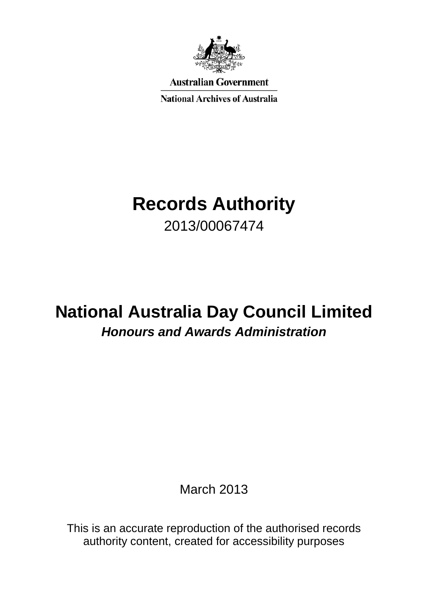

**Australian Government** 

**National Archives of Australia** 

## **Records Authority** 2013/00067474

# **National Australia Day Council Limited** *Honours and Awards Administration*

March 2013

This is an accurate reproduction of the authorised records authority content, created for accessibility purposes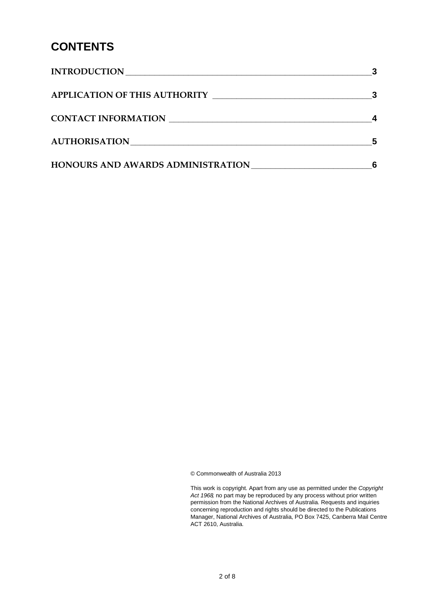#### **CONTENTS**

| <b>INTRODUCTION</b>                      |  |
|------------------------------------------|--|
| <b>APPLICATION OF THIS AUTHORITY</b>     |  |
| CONTACT INFORMATION                      |  |
| AUTHORISATION                            |  |
| <b>HONOURS AND AWARDS ADMINISTRATION</b> |  |

© Commonwealth of Australia 2013

This work is copyright. Apart from any use as permitted under the *Copyright Act 1968,* no part may be reproduced by any process without prior written permission from the National Archives of Australia. Requests and inquiries concerning reproduction and rights should be directed to the Publications Manager, National Archives of Australia, PO Box 7425, Canberra Mail Centre ACT 2610, Australia.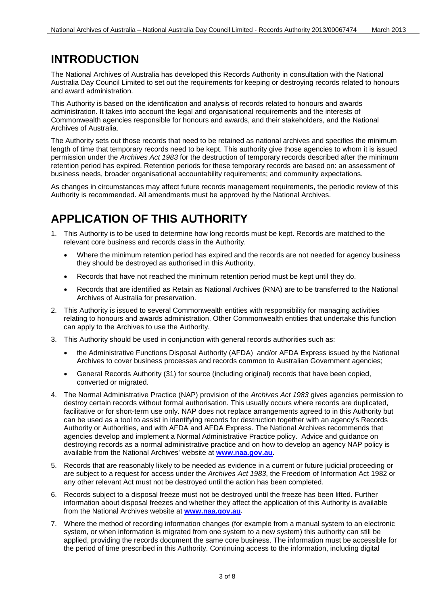#### <span id="page-2-0"></span>**INTRODUCTION**

The National Archives of Australia has developed this Records Authority in consultation with the National Australia Day Council Limited to set out the requirements for keeping or destroying records related to honours and award administration.

This Authority is based on the identification and analysis of records related to honours and awards administration. It takes into account the legal and organisational requirements and the interests of Commonwealth agencies responsible for honours and awards, and their stakeholders, and the National Archives of Australia.

The Authority sets out those records that need to be retained as national archives and specifies the minimum length of time that temporary records need to be kept. This authority give those agencies to whom it is issued permission under the *Archives Act 1983* for the destruction of temporary records described after the minimum retention period has expired. Retention periods for these temporary records are based on: an assessment of business needs, broader organisational accountability requirements; and community expectations.

As changes in circumstances may affect future records management requirements, the periodic review of this Authority is recommended. All amendments must be approved by the National Archives.

### <span id="page-2-1"></span>**APPLICATION OF THIS AUTHORITY**

- 1. This Authority is to be used to determine how long records must be kept. Records are matched to the relevant core business and records class in the Authority.
	- Where the minimum retention period has expired and the records are not needed for agency business they should be destroyed as authorised in this Authority.
	- Records that have not reached the minimum retention period must be kept until they do.
	- Records that are identified as Retain as National Archives (RNA) are to be transferred to the National Archives of Australia for preservation.
- 2. This Authority is issued to several Commonwealth entities with responsibility for managing activities relating to honours and awards administration. Other Commonwealth entities that undertake this function can apply to the Archives to use the Authority.
- 3. This Authority should be used in conjunction with general records authorities such as:
	- the Administrative Functions Disposal Authority (AFDA) and/or AFDA Express issued by the National Archives to cover business processes and records common to Australian Government agencies;
	- General Records Authority (31) for source (including original) records that have been copied, converted or migrated.
- 4. The Normal Administrative Practice (NAP) provision of the *Archives Act 1983* gives agencies permission to destroy certain records without formal authorisation. This usually occurs where records are duplicated, facilitative or for short-term use only. NAP does not replace arrangements agreed to in this Authority but can be used as a tool to assist in identifying records for destruction together with an agency's Records Authority or Authorities, and with AFDA and AFDA Express. The National Archives recommends that agencies develop and implement a Normal Administrative Practice policy. Advice and guidance on destroying records as a normal administrative practice and on how to develop an agency NAP policy is available from the National Archives' website at **[www.naa.gov.au](http://www.naa.gov.au/)**.
- 5. Records that are reasonably likely to be needed as evidence in a current or future judicial proceeding or are subject to a request for access under the *Archives Act 1983*, the Freedom of Information Act 1982 or any other relevant Act must not be destroyed until the action has been completed.
- 6. Records subject to a disposal freeze must not be destroyed until the freeze has been lifted. Further information about disposal freezes and whether they affect the application of this Authority is available from the National Archives website at **[www.naa.gov.au](http://www.naa.gov.au/)**.
- 7. Where the method of recording information changes (for example from a manual system to an electronic system, or when information is migrated from one system to a new system) this authority can still be applied, providing the records document the same core business. The information must be accessible for the period of time prescribed in this Authority. Continuing access to the information, including digital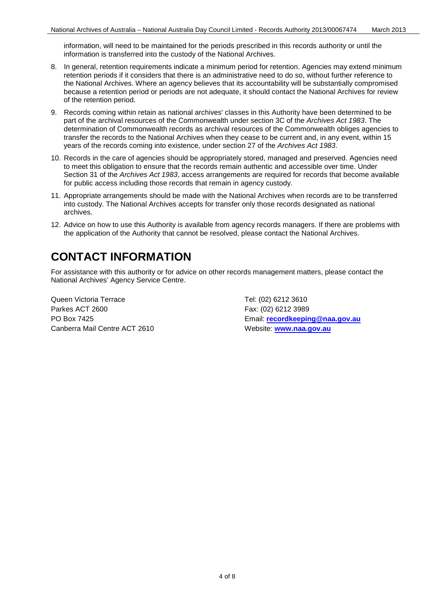information, will need to be maintained for the periods prescribed in this records authority or until the information is transferred into the custody of the National Archives.

- 8. In general, retention requirements indicate a minimum period for retention. Agencies may extend minimum retention periods if it considers that there is an administrative need to do so, without further reference to the National Archives. Where an agency believes that its accountability will be substantially compromised because a retention period or periods are not adequate, it should contact the National Archives for review of the retention period.
- 9. Records coming within retain as national archives' classes in this Authority have been determined to be part of the archival resources of the Commonwealth under section 3C of the *Archives Act 1983*. The determination of Commonwealth records as archival resources of the Commonwealth obliges agencies to transfer the records to the National Archives when they cease to be current and, in any event, within 15 years of the records coming into existence, under section 27 of the *Archives Act 1983*.
- 10. Records in the care of agencies should be appropriately stored, managed and preserved. Agencies need to meet this obligation to ensure that the records remain authentic and accessible over time. Under Section 31 of the *Archives Act 1983*, access arrangements are required for records that become available for public access including those records that remain in agency custody.
- 11. Appropriate arrangements should be made with the National Archives when records are to be transferred into custody. The National Archives accepts for transfer only those records designated as national archives.
- 12. Advice on how to use this Authority is available from agency records managers. If there are problems with the application of the Authority that cannot be resolved, please contact the National Archives.

#### <span id="page-3-0"></span>**CONTACT INFORMATION**

For assistance with this authority or for advice on other records management matters, please contact the National Archives' Agency Service Centre.

Queen Victoria Terrace Tel: (02) 6212 3610 Parkes ACT 2600 Fax: (02) 6212 3989 Canberra Mail Centre ACT 2610 Website: [www.naa.gov.au](http://www.naa.gov.au/)

PO Box 7425 Email: **[recordkeeping@naa.gov.au](mailto:recordkeeping@naa.gov.au)**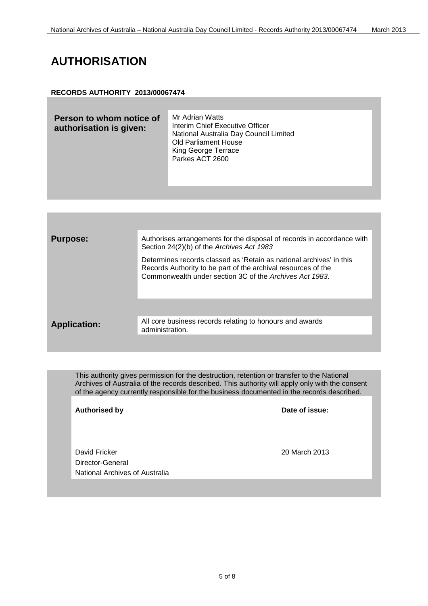### <span id="page-4-0"></span>**AUTHORISATION**

#### **RECORDS AUTHORITY 2013/00067474**



This authority gives permission for the destruction, retention or transfer to the National Archives of Australia of the records described. This authority will apply only with the consent of the agency currently responsible for the business documented in the records described.

**Authorised by Date of issue:**

David Fricker 20 March 2013 Director-General National Archives of Australia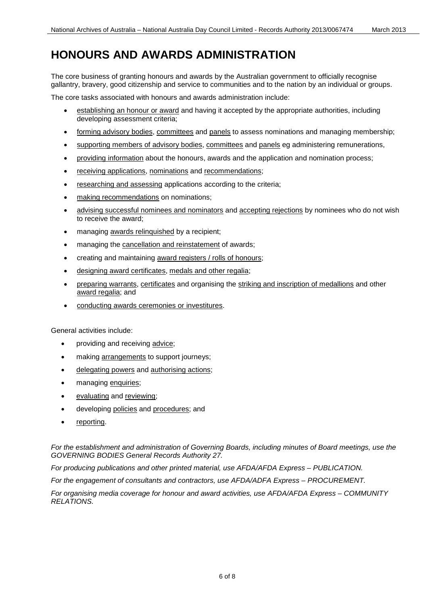### <span id="page-5-0"></span>**HONOURS AND AWARDS ADMINISTRATION**

The core business of granting honours and awards by the Australian government to officially recognise gallantry, bravery, good citizenship and service to communities and to the nation by an individual or groups.

The core tasks associated with honours and awards administration include:

- establishing an honour or award and having it accepted by the appropriate authorities, including developing assessment criteria;
- forming advisory bodies, committees and panels to assess nominations and managing membership;
- supporting members of advisory bodies, committees and panels eg administering remunerations,
- providing information about the honours, awards and the application and nomination process;
- receiving applications, nominations and recommendations;
- researching and assessing applications according to the criteria;
- making recommendations on nominations;
- advising successful nominees and nominators and accepting rejections by nominees who do not wish to receive the award;
- managing awards relinquished by a recipient;
- managing the cancellation and reinstatement of awards;
- creating and maintaining award registers / rolls of honours;
- designing award certificates, medals and other regalia;
- preparing warrants, certificates and organising the striking and inscription of medallions and other award regalia; and
- conducting awards ceremonies or investitures.

General activities include:

- providing and receiving advice;
- making arrangements to support journeys;
- delegating powers and authorising actions;
- managing enquiries;
- evaluating and reviewing;
- developing policies and procedures; and
- reporting.

*For the establishment and administration of Governing Boards, including minutes of Board meetings, use the GOVERNING BODIES General Records Authority 27.*

*For producing publications and other printed material, use AFDA/AFDA Express – PUBLICATION.*

*For the engagement of consultants and contractors, use AFDA/ADFA Express – PROCUREMENT.*

*For organising media coverage for honour and award activities, use AFDA/AFDA Express – COMMUNITY RELATIONS.*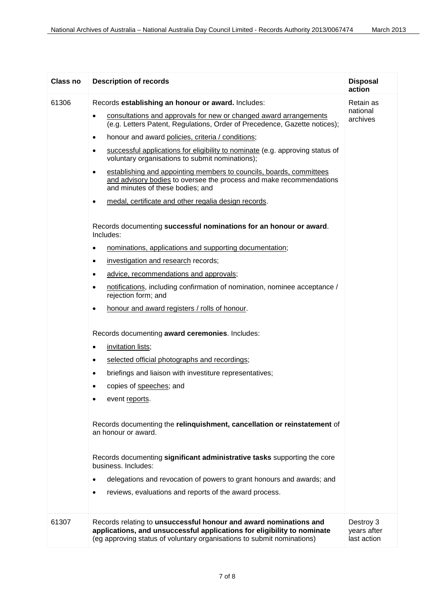| Class no | <b>Description of records</b>                                                                                                                                                                                          | <b>Disposal</b><br>action               |
|----------|------------------------------------------------------------------------------------------------------------------------------------------------------------------------------------------------------------------------|-----------------------------------------|
| 61306    | Records establishing an honour or award. Includes:                                                                                                                                                                     | Retain as                               |
|          | consultations and approvals for new or changed award arrangements<br>$\bullet$<br>(e.g. Letters Patent, Regulations, Order of Precedence, Gazette notices);                                                            | national<br>archives                    |
|          | honour and award policies, criteria / conditions;<br>$\bullet$                                                                                                                                                         |                                         |
|          | successful applications for eligibility to nominate (e.g. approving status of<br>$\bullet$<br>voluntary organisations to submit nominations);                                                                          |                                         |
|          | establishing and appointing members to councils, boards, committees<br>$\bullet$<br>and advisory bodies to oversee the process and make recommendations<br>and minutes of these bodies; and                            |                                         |
|          | medal, certificate and other regalia design records.<br>$\bullet$                                                                                                                                                      |                                         |
|          | Records documenting successful nominations for an honour or award.<br>Includes:                                                                                                                                        |                                         |
|          | nominations, applications and supporting documentation;<br>٠                                                                                                                                                           |                                         |
|          | investigation and research records;<br>$\bullet$                                                                                                                                                                       |                                         |
|          | advice, recommendations and approvals;<br>٠                                                                                                                                                                            |                                         |
|          | notifications, including confirmation of nomination, nominee acceptance /<br>$\bullet$<br>rejection form; and                                                                                                          |                                         |
|          | honour and award registers / rolls of honour.<br>$\bullet$                                                                                                                                                             |                                         |
|          | Records documenting award ceremonies. Includes:                                                                                                                                                                        |                                         |
|          | invitation lists;<br>$\bullet$                                                                                                                                                                                         |                                         |
|          | selected official photographs and recordings;<br>$\bullet$                                                                                                                                                             |                                         |
|          | briefings and liaison with investiture representatives;<br>٠                                                                                                                                                           |                                         |
|          | copies of speeches; and<br>٠                                                                                                                                                                                           |                                         |
|          | event reports.                                                                                                                                                                                                         |                                         |
|          | Records documenting the relinquishment, cancellation or reinstatement of<br>an honour or award.                                                                                                                        |                                         |
|          | Records documenting significant administrative tasks supporting the core<br>business. Includes:                                                                                                                        |                                         |
|          | delegations and revocation of powers to grant honours and awards; and<br>$\bullet$                                                                                                                                     |                                         |
|          | reviews, evaluations and reports of the award process.<br>$\bullet$                                                                                                                                                    |                                         |
| 61307    | Records relating to unsuccessful honour and award nominations and<br>applications, and unsuccessful applications for eligibility to nominate<br>(eg approving status of voluntary organisations to submit nominations) | Destroy 3<br>years after<br>last action |